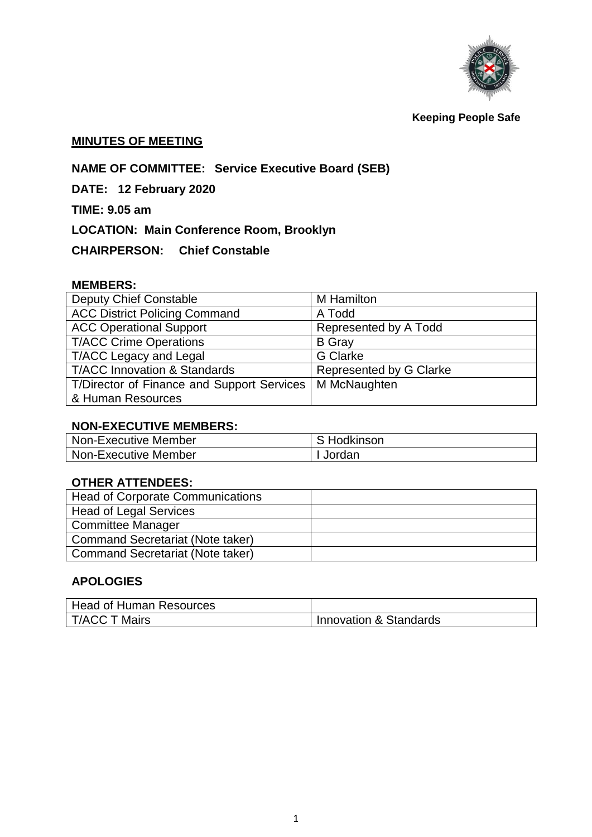

**Keeping People Safe**

## **MINUTES OF MEETING**

# **NAME OF COMMITTEE: Service Executive Board (SEB)**

**DATE: 12 February 2020**

**TIME: 9.05 am**

**LOCATION: Main Conference Room, Brooklyn**

**CHAIRPERSON: Chief Constable** 

### **MEMBERS:**

| <b>Deputy Chief Constable</b>              | M Hamilton              |  |
|--------------------------------------------|-------------------------|--|
| <b>ACC District Policing Command</b>       | A Todd                  |  |
| <b>ACC Operational Support</b>             | Represented by A Todd   |  |
| <b>T/ACC Crime Operations</b>              | <b>B</b> Gray           |  |
| <b>T/ACC Legacy and Legal</b>              | <b>G</b> Clarke         |  |
| <b>T/ACC Innovation &amp; Standards</b>    | Represented by G Clarke |  |
| T/Director of Finance and Support Services | M McNaughten            |  |
| & Human Resources                          |                         |  |

#### **NON-EXECUTIVE MEMBERS:**

| <b>Non-Executive Member</b> | S Hodkinson |
|-----------------------------|-------------|
| <b>Non-Executive Member</b> | Jordan      |

# **OTHER ATTENDEES:**

| <b>Head of Corporate Communications</b> |  |
|-----------------------------------------|--|
| <b>Head of Legal Services</b>           |  |
| <b>Committee Manager</b>                |  |
| <b>Command Secretariat (Note taker)</b> |  |
| Command Secretariat (Note taker)        |  |

# **APOLOGIES**

| Head of Human Resources |                        |
|-------------------------|------------------------|
| T/ACC T Mairs           | Innovation & Standards |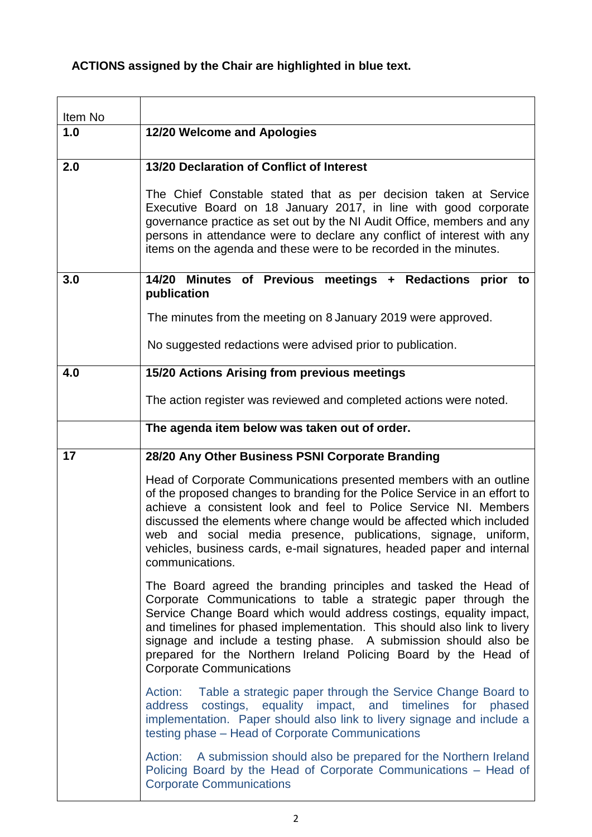# **ACTIONS assigned by the Chair are highlighted in blue text.**

| Item No |                                                                                                                                                                                                                                                                                                                                                                                                                                                                 |
|---------|-----------------------------------------------------------------------------------------------------------------------------------------------------------------------------------------------------------------------------------------------------------------------------------------------------------------------------------------------------------------------------------------------------------------------------------------------------------------|
| 1.0     | 12/20 Welcome and Apologies                                                                                                                                                                                                                                                                                                                                                                                                                                     |
|         |                                                                                                                                                                                                                                                                                                                                                                                                                                                                 |
| 2.0     | 13/20 Declaration of Conflict of Interest                                                                                                                                                                                                                                                                                                                                                                                                                       |
|         | The Chief Constable stated that as per decision taken at Service<br>Executive Board on 18 January 2017, in line with good corporate<br>governance practice as set out by the NI Audit Office, members and any<br>persons in attendance were to declare any conflict of interest with any<br>items on the agenda and these were to be recorded in the minutes.                                                                                                   |
| 3.0     | Minutes of Previous meetings + Redactions prior to<br>14/20<br>publication                                                                                                                                                                                                                                                                                                                                                                                      |
|         | The minutes from the meeting on 8 January 2019 were approved.                                                                                                                                                                                                                                                                                                                                                                                                   |
|         | No suggested redactions were advised prior to publication.                                                                                                                                                                                                                                                                                                                                                                                                      |
| 4.0     | 15/20 Actions Arising from previous meetings                                                                                                                                                                                                                                                                                                                                                                                                                    |
|         | The action register was reviewed and completed actions were noted.                                                                                                                                                                                                                                                                                                                                                                                              |
|         | The agenda item below was taken out of order.                                                                                                                                                                                                                                                                                                                                                                                                                   |
| 17      | 28/20 Any Other Business PSNI Corporate Branding                                                                                                                                                                                                                                                                                                                                                                                                                |
|         | Head of Corporate Communications presented members with an outline<br>of the proposed changes to branding for the Police Service in an effort to<br>achieve a consistent look and feel to Police Service NI. Members<br>discussed the elements where change would be affected which included<br>web and social media presence, publications, signage, uniform,<br>vehicles, business cards, e-mail signatures, headed paper and internal<br>communications.     |
|         | The Board agreed the branding principles and tasked the Head of<br>Corporate Communications to table a strategic paper through the<br>Service Change Board which would address costings, equality impact,<br>and timelines for phased implementation. This should also link to livery<br>signage and include a testing phase. A submission should also be<br>prepared for the Northern Ireland Policing Board by the Head of<br><b>Corporate Communications</b> |
|         | Action: Table a strategic paper through the Service Change Board to<br>costings, equality impact, and timelines for phased<br>address<br>implementation. Paper should also link to livery signage and include a<br>testing phase – Head of Corporate Communications                                                                                                                                                                                             |
|         | Action: A submission should also be prepared for the Northern Ireland<br>Policing Board by the Head of Corporate Communications - Head of<br><b>Corporate Communications</b>                                                                                                                                                                                                                                                                                    |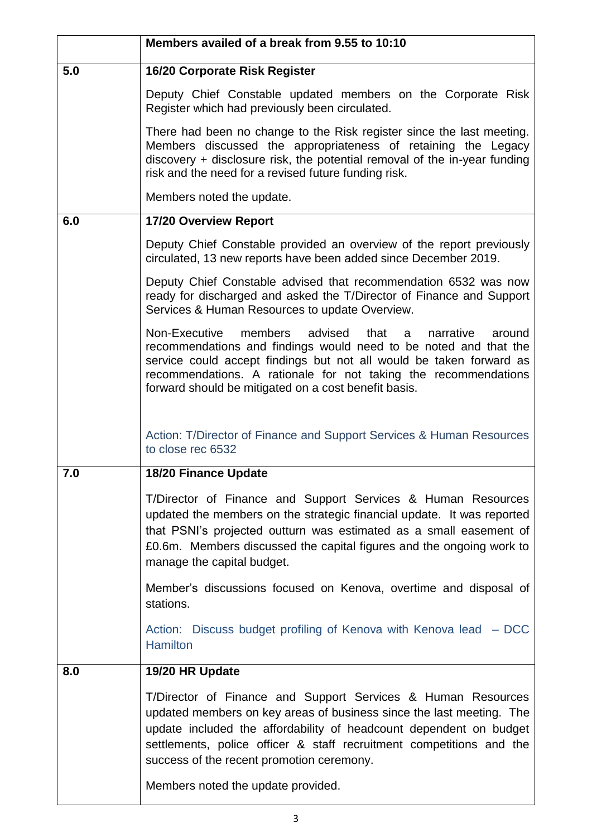|     | Members availed of a break from 9.55 to 10:10                                                                                                                                                                                                                                                                                                 |
|-----|-----------------------------------------------------------------------------------------------------------------------------------------------------------------------------------------------------------------------------------------------------------------------------------------------------------------------------------------------|
| 5.0 | 16/20 Corporate Risk Register                                                                                                                                                                                                                                                                                                                 |
|     | Deputy Chief Constable updated members on the Corporate Risk<br>Register which had previously been circulated.                                                                                                                                                                                                                                |
|     | There had been no change to the Risk register since the last meeting.<br>Members discussed the appropriateness of retaining the Legacy<br>discovery + disclosure risk, the potential removal of the in-year funding<br>risk and the need for a revised future funding risk.                                                                   |
|     | Members noted the update.                                                                                                                                                                                                                                                                                                                     |
| 6.0 | 17/20 Overview Report                                                                                                                                                                                                                                                                                                                         |
|     | Deputy Chief Constable provided an overview of the report previously<br>circulated, 13 new reports have been added since December 2019.                                                                                                                                                                                                       |
|     | Deputy Chief Constable advised that recommendation 6532 was now<br>ready for discharged and asked the T/Director of Finance and Support<br>Services & Human Resources to update Overview.                                                                                                                                                     |
|     | Non-Executive<br>members<br>advised<br>that<br>narrative<br>around<br>a<br>recommendations and findings would need to be noted and that the<br>service could accept findings but not all would be taken forward as<br>recommendations. A rationale for not taking the recommendations<br>forward should be mitigated on a cost benefit basis. |
|     | Action: T/Director of Finance and Support Services & Human Resources<br>to close rec 6532                                                                                                                                                                                                                                                     |
| 7.0 | <b>18/20 Finance Update</b>                                                                                                                                                                                                                                                                                                                   |
|     | T/Director of Finance and Support Services & Human Resources<br>updated the members on the strategic financial update. It was reported<br>that PSNI's projected outturn was estimated as a small easement of<br>£0.6m. Members discussed the capital figures and the ongoing work to<br>manage the capital budget.                            |
|     | Member's discussions focused on Kenova, overtime and disposal of<br>stations.                                                                                                                                                                                                                                                                 |
|     | Action: Discuss budget profiling of Kenova with Kenova lead - DCC<br><b>Hamilton</b>                                                                                                                                                                                                                                                          |
| 8.0 | 19/20 HR Update                                                                                                                                                                                                                                                                                                                               |
|     | T/Director of Finance and Support Services & Human Resources<br>updated members on key areas of business since the last meeting. The<br>update included the affordability of headcount dependent on budget<br>settlements, police officer & staff recruitment competitions and the<br>success of the recent promotion ceremony.               |
|     | Members noted the update provided.                                                                                                                                                                                                                                                                                                            |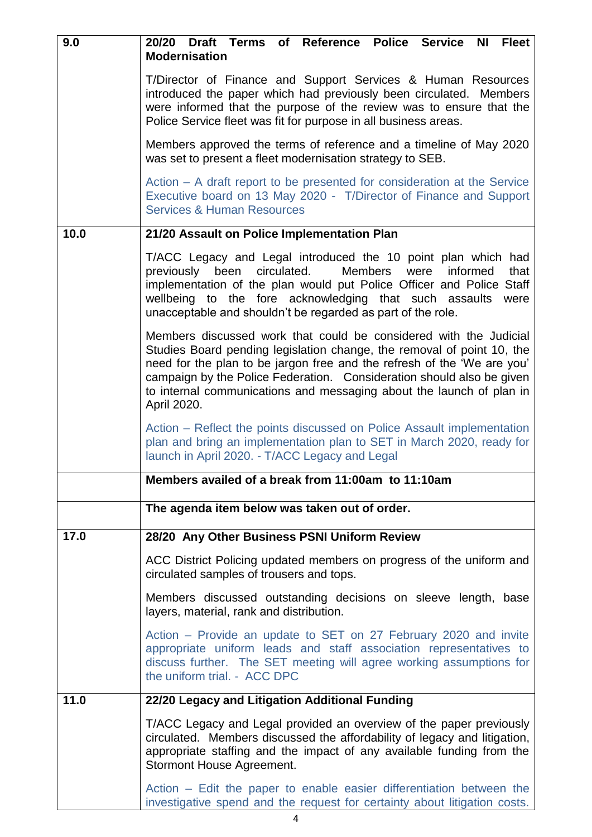| 9.0  | 20/20 Draft Terms of Reference Police Service NI Fleet<br><b>Modernisation</b>                                                                                                                                                                                                                                                                                                         |
|------|----------------------------------------------------------------------------------------------------------------------------------------------------------------------------------------------------------------------------------------------------------------------------------------------------------------------------------------------------------------------------------------|
|      | T/Director of Finance and Support Services & Human Resources<br>introduced the paper which had previously been circulated. Members<br>were informed that the purpose of the review was to ensure that the<br>Police Service fleet was fit for purpose in all business areas.                                                                                                           |
|      | Members approved the terms of reference and a timeline of May 2020<br>was set to present a fleet modernisation strategy to SEB.                                                                                                                                                                                                                                                        |
|      | Action – A draft report to be presented for consideration at the Service<br>Executive board on 13 May 2020 - T/Director of Finance and Support<br><b>Services &amp; Human Resources</b>                                                                                                                                                                                                |
| 10.0 | 21/20 Assault on Police Implementation Plan                                                                                                                                                                                                                                                                                                                                            |
|      | T/ACC Legacy and Legal introduced the 10 point plan which had<br>circulated.<br>previously been<br>Members<br>were<br>informed<br>that<br>implementation of the plan would put Police Officer and Police Staff<br>wellbeing to the fore acknowledging that such assaults<br>were<br>unacceptable and shouldn't be regarded as part of the role.                                        |
|      | Members discussed work that could be considered with the Judicial<br>Studies Board pending legislation change, the removal of point 10, the<br>need for the plan to be jargon free and the refresh of the 'We are you'<br>campaign by the Police Federation. Consideration should also be given<br>to internal communications and messaging about the launch of plan in<br>April 2020. |
|      | Action – Reflect the points discussed on Police Assault implementation<br>plan and bring an implementation plan to SET in March 2020, ready for<br>launch in April 2020. - T/ACC Legacy and Legal                                                                                                                                                                                      |
|      | Members availed of a break from 11:00am to 11:10am                                                                                                                                                                                                                                                                                                                                     |
|      | The agenda item below was taken out of order.                                                                                                                                                                                                                                                                                                                                          |
| 17.0 | 28/20 Any Other Business PSNI Uniform Review                                                                                                                                                                                                                                                                                                                                           |
|      | ACC District Policing updated members on progress of the uniform and<br>circulated samples of trousers and tops.                                                                                                                                                                                                                                                                       |
|      | Members discussed outstanding decisions on sleeve length, base<br>layers, material, rank and distribution.                                                                                                                                                                                                                                                                             |
|      | Action – Provide an update to SET on 27 February 2020 and invite<br>appropriate uniform leads and staff association representatives to<br>discuss further. The SET meeting will agree working assumptions for<br>the uniform trial. - ACC DPC                                                                                                                                          |
| 11.0 | 22/20 Legacy and Litigation Additional Funding                                                                                                                                                                                                                                                                                                                                         |
|      | T/ACC Legacy and Legal provided an overview of the paper previously<br>circulated. Members discussed the affordability of legacy and litigation,<br>appropriate staffing and the impact of any available funding from the<br>Stormont House Agreement.                                                                                                                                 |
|      | Action – Edit the paper to enable easier differentiation between the<br>investigative spend and the request for certainty about litigation costs.                                                                                                                                                                                                                                      |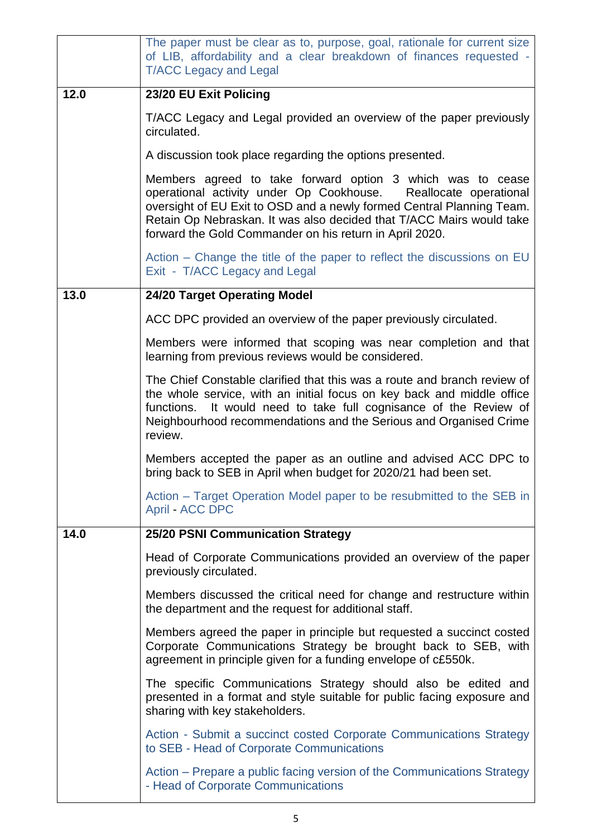|      | The paper must be clear as to, purpose, goal, rationale for current size<br>of LIB, affordability and a clear breakdown of finances requested -<br><b>T/ACC Legacy and Legal</b>                                                                                                                                                             |
|------|----------------------------------------------------------------------------------------------------------------------------------------------------------------------------------------------------------------------------------------------------------------------------------------------------------------------------------------------|
| 12.0 | 23/20 EU Exit Policing                                                                                                                                                                                                                                                                                                                       |
|      | T/ACC Legacy and Legal provided an overview of the paper previously<br>circulated.                                                                                                                                                                                                                                                           |
|      | A discussion took place regarding the options presented.                                                                                                                                                                                                                                                                                     |
|      | Members agreed to take forward option 3 which was to cease<br>operational activity under Op Cookhouse.<br>Reallocate operational<br>oversight of EU Exit to OSD and a newly formed Central Planning Team.<br>Retain Op Nebraskan. It was also decided that T/ACC Mairs would take<br>forward the Gold Commander on his return in April 2020. |
|      | Action – Change the title of the paper to reflect the discussions on EU<br>Exit - T/ACC Legacy and Legal                                                                                                                                                                                                                                     |
| 13.0 | <b>24/20 Target Operating Model</b>                                                                                                                                                                                                                                                                                                          |
|      | ACC DPC provided an overview of the paper previously circulated.                                                                                                                                                                                                                                                                             |
|      | Members were informed that scoping was near completion and that<br>learning from previous reviews would be considered.                                                                                                                                                                                                                       |
|      | The Chief Constable clarified that this was a route and branch review of<br>the whole service, with an initial focus on key back and middle office<br>It would need to take full cognisance of the Review of<br>functions.<br>Neighbourhood recommendations and the Serious and Organised Crime<br>review.                                   |
|      | Members accepted the paper as an outline and advised ACC DPC to<br>bring back to SEB in April when budget for 2020/21 had been set.                                                                                                                                                                                                          |
|      | Action – Target Operation Model paper to be resubmitted to the SEB in<br><b>April - ACC DPC</b>                                                                                                                                                                                                                                              |
| 14.0 | 25/20 PSNI Communication Strategy                                                                                                                                                                                                                                                                                                            |
|      | Head of Corporate Communications provided an overview of the paper<br>previously circulated.                                                                                                                                                                                                                                                 |
|      | Members discussed the critical need for change and restructure within<br>the department and the request for additional staff.                                                                                                                                                                                                                |
|      | Members agreed the paper in principle but requested a succinct costed<br>Corporate Communications Strategy be brought back to SEB, with<br>agreement in principle given for a funding envelope of c£550k.                                                                                                                                    |
|      | The specific Communications Strategy should also be edited and<br>presented in a format and style suitable for public facing exposure and<br>sharing with key stakeholders.                                                                                                                                                                  |
|      | Action - Submit a succinct costed Corporate Communications Strategy<br>to SEB - Head of Corporate Communications                                                                                                                                                                                                                             |
|      | Action – Prepare a public facing version of the Communications Strategy<br>- Head of Corporate Communications                                                                                                                                                                                                                                |